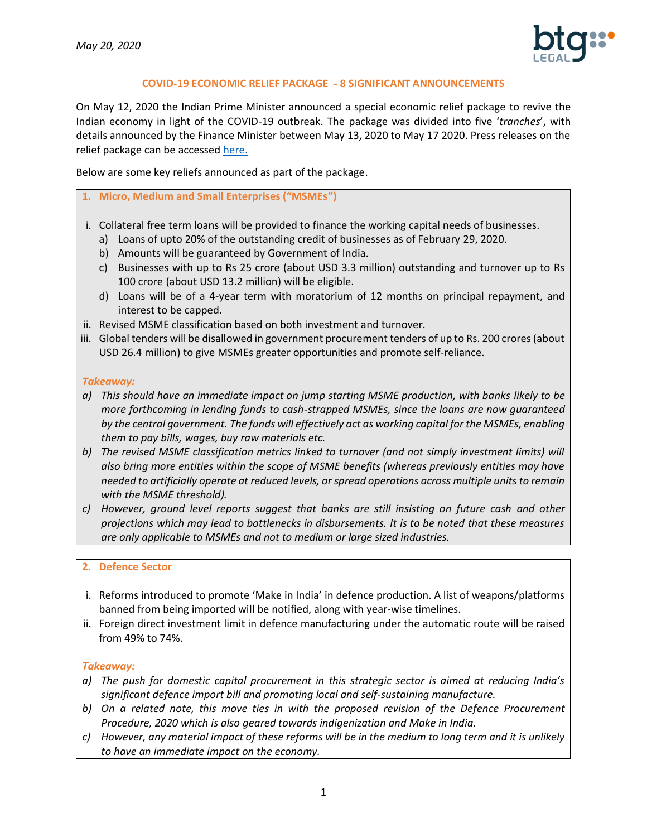

## **COVID-19 ECONOMIC RELIEF PACKAGE - 8 SIGNIFICANT ANNOUNCEMENTS**

On May 12, 2020 the Indian Prime Minister announced a special economic relief package to revive the Indian economy in light of the COVID-19 outbreak. The package was divided into five '*tranches*', with details announced by the Finance Minister between May 13, 2020 to May 17 2020. Press releases on the relief package can be accessed [here.](https://btglegal-my.sharepoint.com/:b:/g/personal/practicemanager_btg-legal_com/ETXf1i8cyZVMvHpt_Gxj8b4BXjpgq-Ljl-Kv-Ez30_tE6Q?e=pKf9rb)

Below are some key reliefs announced as part of the package.

#### **1. Micro, Medium and Small Enterprises ("MSMEs")**

- i. Collateral free term loans will be provided to finance the working capital needs of businesses.
	- a) Loans of upto 20% of the outstanding credit of businesses as of February 29, 2020.
	- b) Amounts will be guaranteed by Government of India.
	- c) Businesses with up to Rs 25 crore (about USD 3.3 million) outstanding and turnover up to Rs 100 crore (about USD 13.2 million) will be eligible.
	- d) Loans will be of a 4-year term with moratorium of 12 months on principal repayment, and interest to be capped.
- ii. Revised MSME classification based on both investment and turnover.
- iii. Global tenders will be disallowed in government procurement tenders of up to Rs. 200 crores (about USD 26.4 million) to give MSMEs greater opportunities and promote self-reliance.

#### *Takeaway:*

- *a) This should have an immediate impact on jump starting MSME production, with banks likely to be more forthcoming in lending funds to cash-strapped MSMEs, since the loans are now guaranteed by the central government. The funds will effectively act as working capital for the MSMEs, enabling them to pay bills, wages, buy raw materials etc.*
- *b) The revised MSME classification metrics linked to turnover (and not simply investment limits) will also bring more entities within the scope of MSME benefits (whereas previously entities may have needed to artificially operate at reduced levels, or spread operations across multiple units to remain with the MSME threshold).*
- *c) However, ground level reports suggest that banks are still insisting on future cash and other projections which may lead to bottlenecks in disbursements. It is to be noted that these measures are only applicable to MSMEs and not to medium or large sized industries.*

#### **2. Defence Sector**

- i. Reforms introduced to promote 'Make in India' in defence production. A list of weapons/platforms banned from being imported will be notified, along with year-wise timelines.
- ii. Foreign direct investment limit in defence manufacturing under the automatic route will be raised from 49% to 74%.

#### *Takeaway:*

- *a) The push for domestic capital procurement in this strategic sector is aimed at reducing India's significant defence import bill and promoting local and self-sustaining manufacture.*
- *b) On a related note, this move ties in with the proposed revision of the Defence Procurement Procedure, 2020 which is also geared towards indigenization and Make in India.*
- *c) However, any material impact of these reforms will be in the medium to long term and it is unlikely to have an immediate impact on the economy.*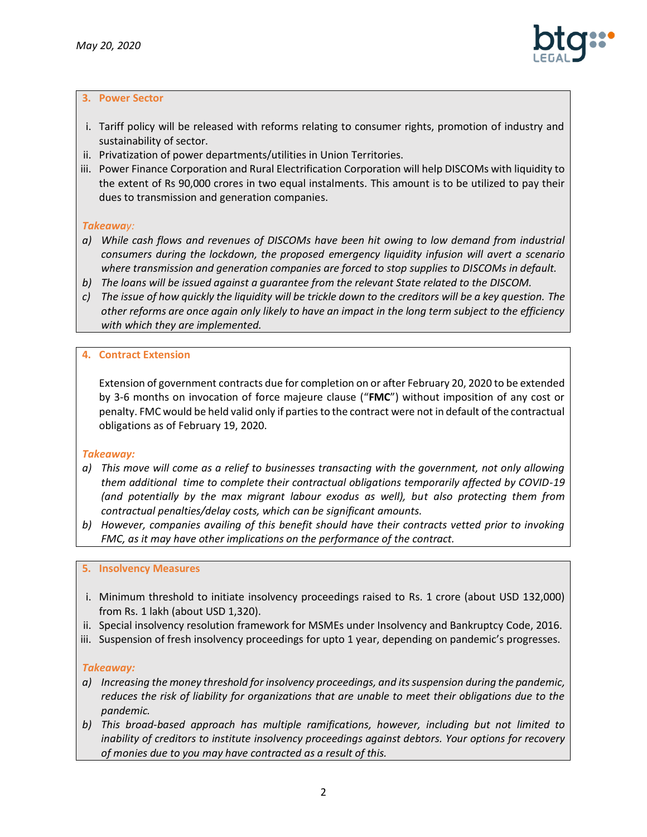

## **3. Power Sector**

- i. Tariff policy will be released with reforms relating to consumer rights, promotion of industry and sustainability of sector.
- ii. Privatization of power departments/utilities in Union Territories.
- iii. Power Finance Corporation and Rural Electrification Corporation will help DISCOMs with liquidity to the extent of Rs 90,000 crores in two equal instalments. This amount is to be utilized to pay their dues to transmission and generation companies.

# *Takeaway:*

- *a) While cash flows and revenues of DISCOMs have been hit owing to low demand from industrial consumers during the lockdown, the proposed emergency liquidity infusion will avert a scenario where transmission and generation companies are forced to stop supplies to DISCOMs in default.*
- *b) The loans will be issued against a guarantee from the relevant State related to the DISCOM.*
- *c) The issue of how quickly the liquidity will be trickle down to the creditors will be a key question. The other reforms are once again only likely to have an impact in the long term subject to the efficiency with which they are implemented.*

## **4. Contract Extension**

Extension of government contracts due for completion on or after February 20, 2020 to be extended by 3-6 months on invocation of force majeure clause ("**FMC**") without imposition of any cost or penalty. FMC would be held valid only if parties to the contract were not in default of the contractual obligations as of February 19, 2020.

## *Takeaway:*

- *a) This move will come as a relief to businesses transacting with the government, not only allowing them additional time to complete their contractual obligations temporarily affected by COVID-19 (and potentially by the max migrant labour exodus as well), but also protecting them from contractual penalties/delay costs, which can be significant amounts.*
- *b) However, companies availing of this benefit should have their contracts vetted prior to invoking FMC, as it may have other implications on the performance of the contract.*

## **5. Insolvency Measures**

- i. Minimum threshold to initiate insolvency proceedings raised to Rs. 1 crore (about USD 132,000) from Rs. 1 lakh (about USD 1,320).
- ii. Special insolvency resolution framework for MSMEs under Insolvency and Bankruptcy Code, 2016.
- iii. Suspension of fresh insolvency proceedings for upto 1 year, depending on pandemic's progresses.

## *Takeaway:*

- *a) Increasing the money threshold for insolvency proceedings, and its suspension during the pandemic, reduces the risk of liability for organizations that are unable to meet their obligations due to the pandemic.*
- *b) This broad-based approach has multiple ramifications, however, including but not limited to inability of creditors to institute insolvency proceedings against debtors. Your options for recovery of monies due to you may have contracted as a result of this.*